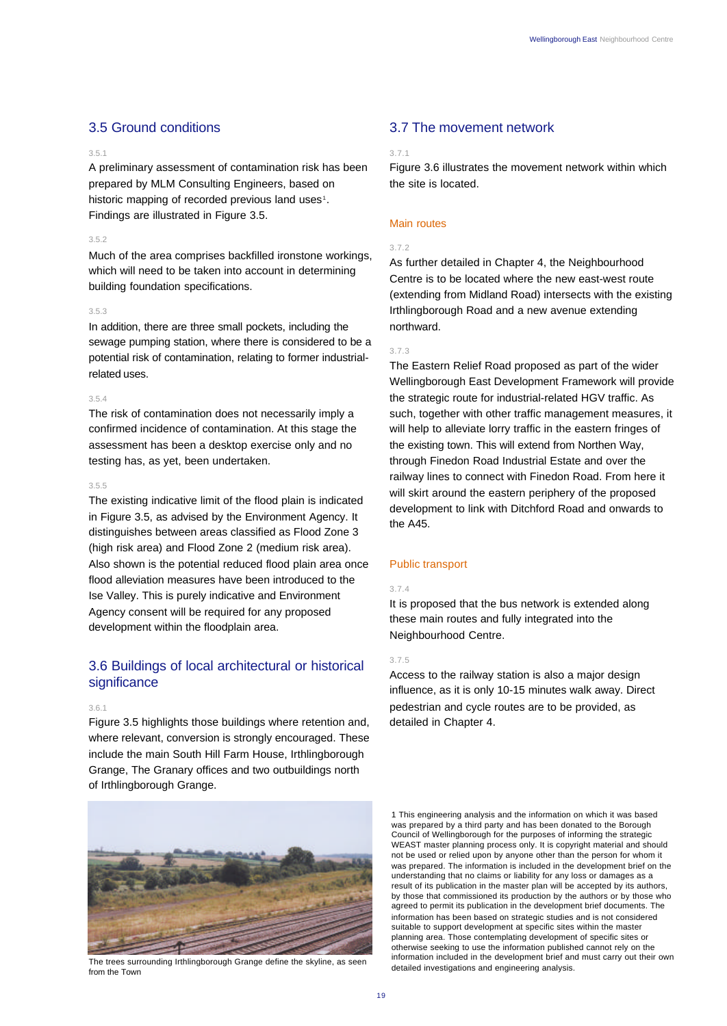# 3.5 Ground conditions

#### 3.5.1

A preliminary assessment of contamination risk has been prepared by MLM Consulting Engineers, based on historic mapping of recorded previous land uses<sup>1</sup>. Findings are illustrated in Figure 3.5.

#### 3.5.2

Much of the area comprises backfilled ironstone workings, which will need to be taken into account in determining building foundation specifications.

#### 3.5.3

In addition, there are three small pockets, including the sewage pumping station, where there is considered to be a potential risk of contamination, relating to former industrialrelated uses.

#### 3.5.4

The risk of contamination does not necessarily imply a confirmed incidence of contamination. At this stage the assessment has been a desktop exercise only and no testing has, as yet, been undertaken.

#### 3.5.5

The existing indicative limit of the flood plain is indicated in Figure 3.5, as advised by the Environment Agency. It distinguishes between areas classified as Flood Zone 3 (high risk area) and Flood Zone 2 (medium risk area). Also shown is the potential reduced flood plain area once flood alleviation measures have been introduced to the Ise Valley. This is purely indicative and Environment Agency consent will be required for any proposed development within the floodplain area.

# 3.6 Buildings of local architectural or historical significance

#### 3.6.1

Figure 3.5 highlights those buildings where retention and, where relevant, conversion is strongly encouraged. These include the main South Hill Farm House, Irthlingborough Grange, The Granary offices and two outbuildings north of Irthlingborough Grange.



The trees surrounding Irthlingborough Grange define the skyline, as seen from the Town

# 3.7 The movement network

## 3.7.1

Figure 3.6 illustrates the movement network within which the site is located.

## Main routes

## 3.7.2

As further detailed in Chapter 4, the Neighbourhood Centre is to be located where the new east-west route (extending from Midland Road) intersects with the existing Irthlingborough Road and a new avenue extending northward.

#### 3.7.3

The Eastern Relief Road proposed as part of the wider Wellingborough East Development Framework will provide the strategic route for industrial-related HGV traffic. As such, together with other traffic management measures, it will help to alleviate lorry traffic in the eastern fringes of the existing town. This will extend from Northen Way, through Finedon Road Industrial Estate and over the railway lines to connect with Finedon Road. From here it will skirt around the eastern periphery of the proposed development to link with Ditchford Road and onwards to the A45.

#### Public transport

#### 3.7.4

It is proposed that the bus network is extended along these main routes and fully integrated into the Neighbourhood Centre.

### 3.7.5

Access to the railway station is also a major design influence, as it is only 10-15 minutes walk away. Direct pedestrian and cycle routes are to be provided, as detailed in Chapter 4.

1 This engineering analysis and the information on which it was based was prepared by a third party and has been donated to the Borough Council of Wellingborough for the purposes of informing the strategic WEAST master planning process only. It is copyright material and should not be used or relied upon by anyone other than the person for whom it was prepared. The information is included in the development brief on the understanding that no claims or liability for any loss or damages as a result of its publication in the master plan will be accepted by its authors, by those that commissioned its production by the authors or by those who agreed to permit its publication in the development brief documents. The information has been based on strategic studies and is not considered suitable to support development at specific sites within the master planning area. Those contemplating development of specific sites or otherwise seeking to use the information published cannot rely on the information included in the development brief and must carry out their own detailed investigations and engineering analysis.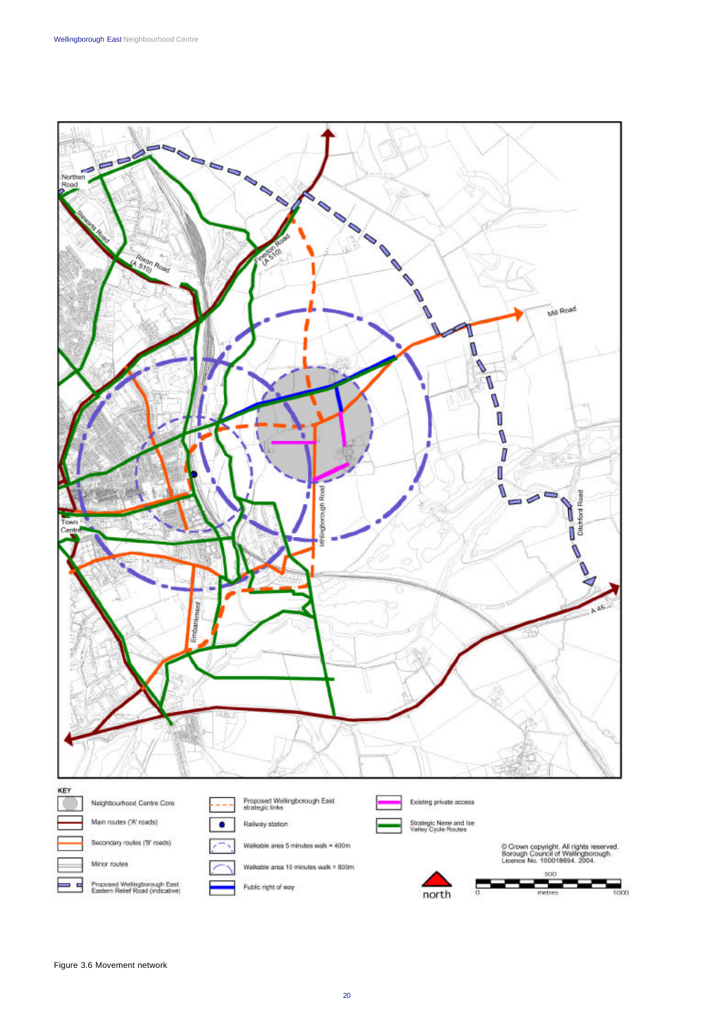

Wellingborough East Neighbourhood Centre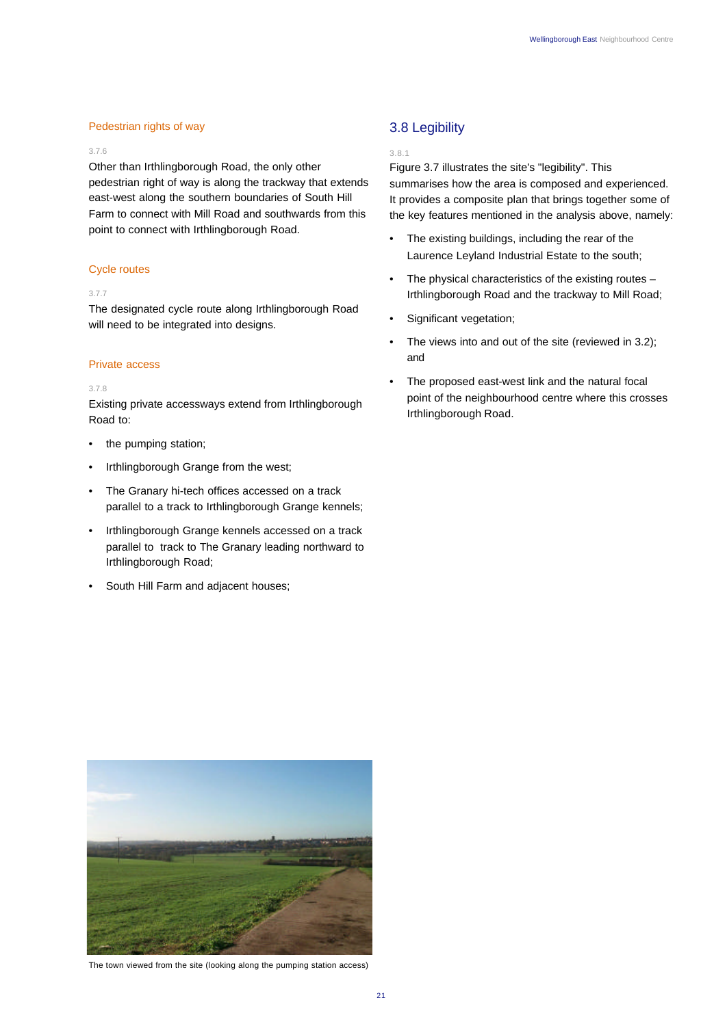## Pedestrian rights of way

## 3.7.6

Other than Irthlingborough Road, the only other pedestrian right of way is along the trackway that extends east-west along the southern boundaries of South Hill Farm to connect with Mill Road and southwards from this point to connect with Irthlingborough Road.

## Cycle routes

#### 3.7.7

The designated cycle route along Irthlingborough Road will need to be integrated into designs.

### Private access

#### 3.7.8

Existing private accessways extend from Irthlingborough Road to:

- the pumping station;
- Irthlingborough Grange from the west;
- The Granary hi-tech offices accessed on a track parallel to a track to Irthlingborough Grange kennels;
- Irthlingborough Grange kennels accessed on a track parallel to track to The Granary leading northward to Irthlingborough Road;
- South Hill Farm and adjacent houses;

# 3.8 Legibility

#### 3.8.1

Figure 3.7 illustrates the site's "legibility". This summarises how the area is composed and experienced. It provides a composite plan that brings together some of the key features mentioned in the analysis above, namely:

- The existing buildings, including the rear of the Laurence Leyland Industrial Estate to the south;
- The physical characteristics of the existing routes  $-$ Irthlingborough Road and the trackway to Mill Road;
- Significant vegetation;
- The views into and out of the site (reviewed in 3.2); and
- The proposed east-west link and the natural focal point of the neighbourhood centre where this crosses Irthlingborough Road.



The town viewed from the site (looking along the pumping station access)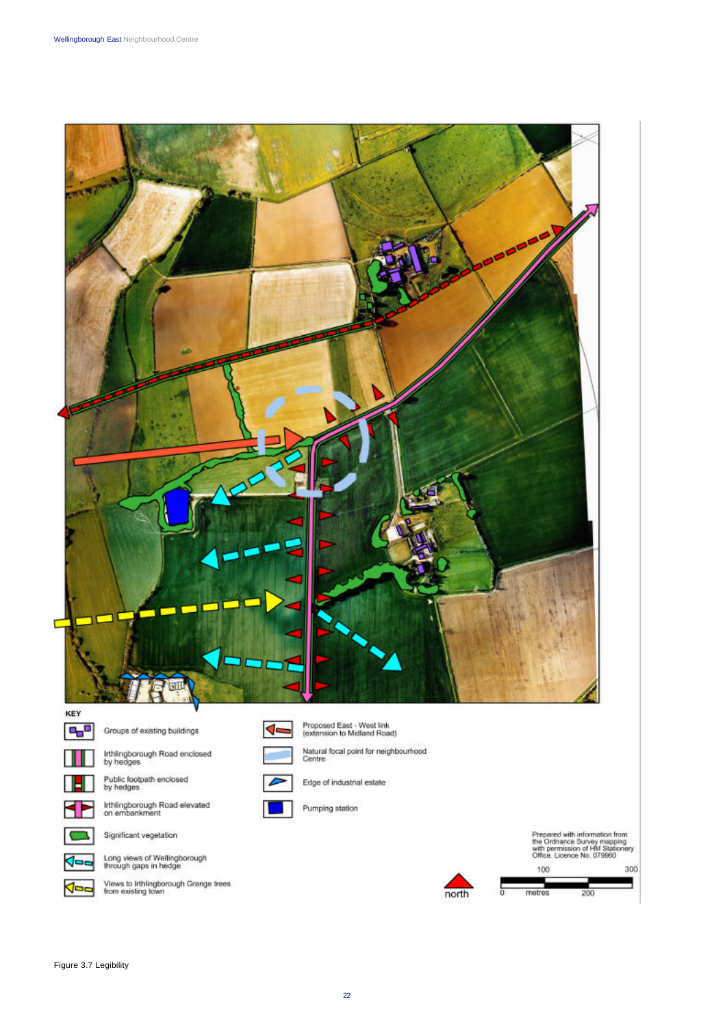